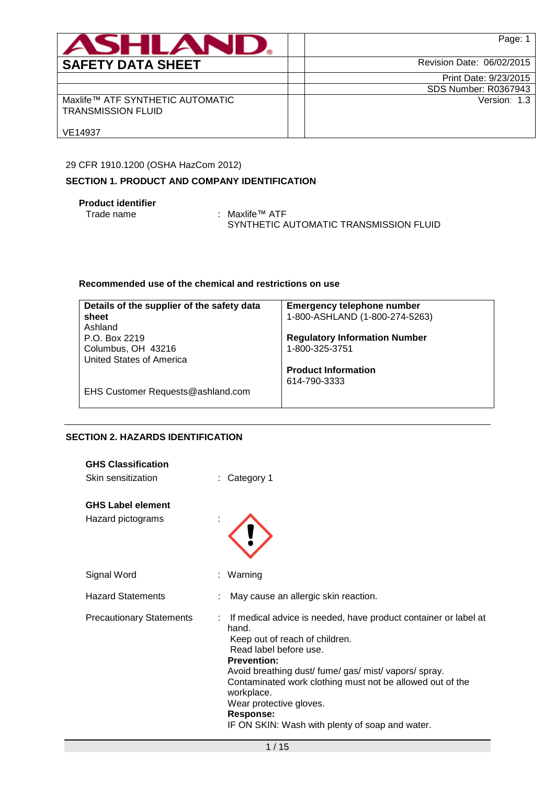| ASHLAN                                                        | Page: 1                   |
|---------------------------------------------------------------|---------------------------|
| <b>SAFETY DATA SHEET</b>                                      | Revision Date: 06/02/2015 |
|                                                               | Print Date: 9/23/2015     |
|                                                               | SDS Number: R0367943      |
| Maxlife™ ATF SYNTHETIC AUTOMATIC<br><b>TRANSMISSION FLUID</b> | Version: 1.3              |
| VE14937                                                       |                           |

## 29 CFR 1910.1200 (OSHA HazCom 2012)

## **SECTION 1. PRODUCT AND COMPANY IDENTIFICATION**

## **Product identifier**

Trade name : Maxlife™ ATF SYNTHETIC AUTOMATIC TRANSMISSION FLUID

## **Recommended use of the chemical and restrictions on use**

| Details of the supplier of the safety data | <b>Emergency telephone number</b>    |
|--------------------------------------------|--------------------------------------|
| sheet                                      | 1-800-ASHLAND (1-800-274-5263)       |
| Ashland                                    |                                      |
| P.O. Box 2219                              | <b>Regulatory Information Number</b> |
| Columbus, OH 43216                         | 1-800-325-3751                       |
| United States of America                   |                                      |
|                                            | <b>Product Information</b>           |
|                                            | 614-790-3333                         |
| EHS Customer Requests@ashland.com          |                                      |

## **SECTION 2. HAZARDS IDENTIFICATION**

| <b>GHS Classification</b><br>Skin sensitization | Category 1                                                                                                                                                                                                                                                                                                                                                                                  |
|-------------------------------------------------|---------------------------------------------------------------------------------------------------------------------------------------------------------------------------------------------------------------------------------------------------------------------------------------------------------------------------------------------------------------------------------------------|
| <b>GHS Label element</b><br>Hazard pictograms   |                                                                                                                                                                                                                                                                                                                                                                                             |
| Signal Word                                     | : Warning                                                                                                                                                                                                                                                                                                                                                                                   |
| <b>Hazard Statements</b>                        | May cause an allergic skin reaction.                                                                                                                                                                                                                                                                                                                                                        |
| <b>Precautionary Statements</b>                 | : If medical advice is needed, have product container or label at<br>hand.<br>Keep out of reach of children.<br>Read label before use.<br><b>Prevention:</b><br>Avoid breathing dust/ fume/ gas/ mist/ vapors/ spray.<br>Contaminated work clothing must not be allowed out of the<br>workplace.<br>Wear protective gloves.<br>Response:<br>IF ON SKIN: Wash with plenty of soap and water. |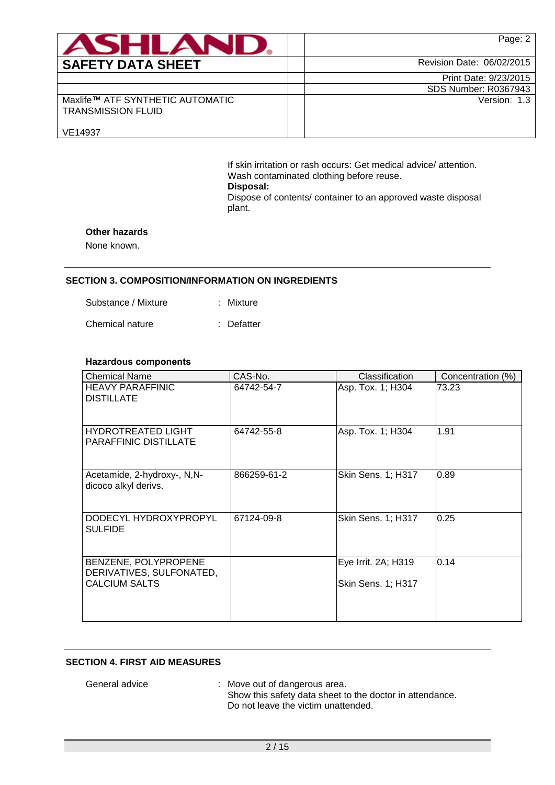| <b>ASHLAN</b>                                                 | Page: 2                   |
|---------------------------------------------------------------|---------------------------|
| <b>SAFETY DATA SHEET</b>                                      | Revision Date: 06/02/2015 |
|                                                               | Print Date: 9/23/2015     |
|                                                               | SDS Number: R0367943      |
| Maxlife™ ATF SYNTHETIC AUTOMATIC<br><b>TRANSMISSION FLUID</b> | Version: 1.3              |
| VE14937                                                       |                           |

If skin irritation or rash occurs: Get medical advice/ attention. Wash contaminated clothing before reuse. **Disposal:**  Dispose of contents/ container to an approved waste disposal plant.

### **Other hazards**

None known.

### **SECTION 3. COMPOSITION/INFORMATION ON INGREDIENTS**

| Mixture |
|---------|
|         |

Chemical nature : Defatter

### **Hazardous components**

| <b>Chemical Name</b>                                                     | CAS-No.     | Classification                            | Concentration (%) |
|--------------------------------------------------------------------------|-------------|-------------------------------------------|-------------------|
| <b>HEAVY PARAFFINIC</b><br><b>DISTILLATE</b>                             | 64742-54-7  | Asp. Tox. 1; H304                         | 73.23             |
| <b>HYDROTREATED LIGHT</b><br><b>PARAFFINIC DISTILLATE</b>                | 64742-55-8  | Asp. Tox. 1; H304                         | 1.91              |
| Acetamide, 2-hydroxy-, N,N-<br>dicoco alkyl derivs.                      | 866259-61-2 | Skin Sens. 1; H317                        | 0.89              |
| DODECYL HYDROXYPROPYL<br><b>SULFIDE</b>                                  | 67124-09-8  | Skin Sens. 1; H317                        | 0.25              |
| BENZENE, POLYPROPENE<br>DERIVATIVES, SULFONATED,<br><b>CALCIUM SALTS</b> |             | Eye Irrit. 2A; H319<br>Skin Sens. 1; H317 | 0.14              |
|                                                                          |             |                                           |                   |

### **SECTION 4. FIRST AID MEASURES**

General advice : Move out of dangerous area. Show this safety data sheet to the doctor in attendance. Do not leave the victim unattended.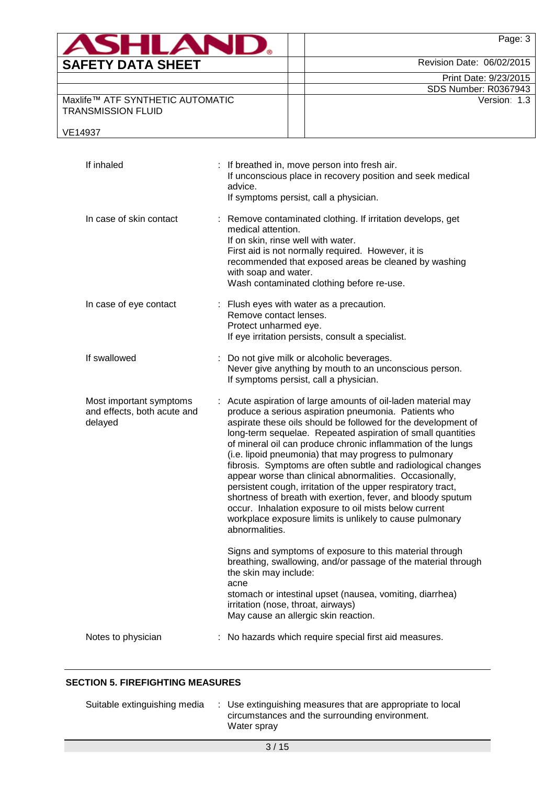| <b>ASHLAND.</b>                                               | Page: 3                     |
|---------------------------------------------------------------|-----------------------------|
| <b>SAFETY DATA SHEET</b>                                      | Revision Date: 06/02/2015   |
|                                                               | Print Date: 9/23/2015       |
|                                                               | <b>SDS Number: R0367943</b> |
| Maxlife™ ATF SYNTHETIC AUTOMATIC<br><b>TRANSMISSION FLUID</b> | Version: 1.3                |
| VE14937                                                       |                             |

| If inhaled                                                        | : If breathed in, move person into fresh air.<br>If unconscious place in recovery position and seek medical<br>advice.<br>If symptoms persist, call a physician.                                                                                                                                                                                                                                                                                                                                                                                                                                                                                                                                                                                                                 |
|-------------------------------------------------------------------|----------------------------------------------------------------------------------------------------------------------------------------------------------------------------------------------------------------------------------------------------------------------------------------------------------------------------------------------------------------------------------------------------------------------------------------------------------------------------------------------------------------------------------------------------------------------------------------------------------------------------------------------------------------------------------------------------------------------------------------------------------------------------------|
| In case of skin contact                                           | : Remove contaminated clothing. If irritation develops, get<br>medical attention.<br>If on skin, rinse well with water.<br>First aid is not normally required. However, it is<br>recommended that exposed areas be cleaned by washing<br>with soap and water.<br>Wash contaminated clothing before re-use.                                                                                                                                                                                                                                                                                                                                                                                                                                                                       |
| In case of eye contact                                            | : Flush eyes with water as a precaution.<br>Remove contact lenses.<br>Protect unharmed eye.<br>If eye irritation persists, consult a specialist.                                                                                                                                                                                                                                                                                                                                                                                                                                                                                                                                                                                                                                 |
| If swallowed                                                      | Do not give milk or alcoholic beverages.<br>Never give anything by mouth to an unconscious person.<br>If symptoms persist, call a physician.                                                                                                                                                                                                                                                                                                                                                                                                                                                                                                                                                                                                                                     |
| Most important symptoms<br>and effects, both acute and<br>delayed | : Acute aspiration of large amounts of oil-laden material may<br>produce a serious aspiration pneumonia. Patients who<br>aspirate these oils should be followed for the development of<br>long-term sequelae. Repeated aspiration of small quantities<br>of mineral oil can produce chronic inflammation of the lungs<br>(i.e. lipoid pneumonia) that may progress to pulmonary<br>fibrosis. Symptoms are often subtle and radiological changes<br>appear worse than clinical abnormalities. Occasionally,<br>persistent cough, irritation of the upper respiratory tract,<br>shortness of breath with exertion, fever, and bloody sputum<br>occur. Inhalation exposure to oil mists below current<br>workplace exposure limits is unlikely to cause pulmonary<br>abnormalities. |
|                                                                   | Signs and symptoms of exposure to this material through<br>breathing, swallowing, and/or passage of the material through<br>the skin may include:<br>acne<br>stomach or intestinal upset (nausea, vomiting, diarrhea)<br>irritation (nose, throat, airways)<br>May cause an allergic skin reaction.                                                                                                                                                                                                                                                                                                                                                                                                                                                                              |
| Notes to physician                                                | No hazards which require special first aid measures.                                                                                                                                                                                                                                                                                                                                                                                                                                                                                                                                                                                                                                                                                                                             |

## **SECTION 5. FIREFIGHTING MEASURES**

| Suitable extinguishing media | : Use extinguishing measures that are appropriate to local |
|------------------------------|------------------------------------------------------------|
|                              | circumstances and the surrounding environment.             |
|                              | Water spray                                                |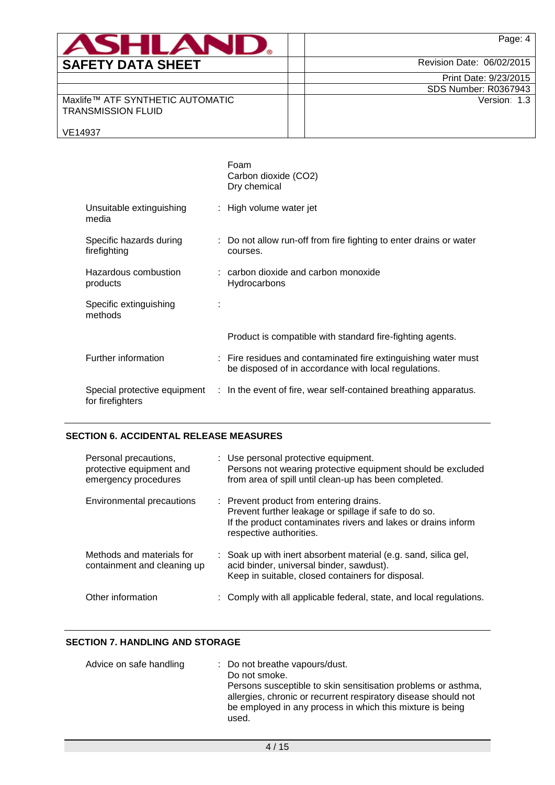| <b>ASHLANI</b>                                                | Page: 4                   |
|---------------------------------------------------------------|---------------------------|
|                                                               |                           |
| <b>SAFETY DATA SHEET</b>                                      | Revision Date: 06/02/2015 |
|                                                               | Print Date: 9/23/2015     |
|                                                               | SDS Number: R0367943      |
| Maxlife™ ATF SYNTHETIC AUTOMATIC<br><b>TRANSMISSION FLUID</b> | Version: 1.3              |
| VE14937                                                       |                           |

|                                         | Foam<br>Carbon dioxide (CO2)<br>Dry chemical                                                                           |
|-----------------------------------------|------------------------------------------------------------------------------------------------------------------------|
| Unsuitable extinguishing<br>media       | : High volume water jet                                                                                                |
| Specific hazards during<br>firefighting | : Do not allow run-off from fire fighting to enter drains or water<br>courses.                                         |
| Hazardous combustion<br>products        | $:$ carbon dioxide and carbon monoxide<br>Hydrocarbons                                                                 |
| Specific extinguishing<br>methods       |                                                                                                                        |
|                                         | Product is compatible with standard fire-fighting agents.                                                              |
| Further information                     | : Fire residues and contaminated fire extinguishing water must<br>be disposed of in accordance with local regulations. |
| for firefighters                        | Special protective equipment : In the event of fire, wear self-contained breathing apparatus.                          |

## **SECTION 6. ACCIDENTAL RELEASE MEASURES**

| Personal precautions,<br>protective equipment and<br>emergency procedures | : Use personal protective equipment.<br>Persons not wearing protective equipment should be excluded<br>from area of spill until clean-up has been completed.                                 |
|---------------------------------------------------------------------------|----------------------------------------------------------------------------------------------------------------------------------------------------------------------------------------------|
| Environmental precautions                                                 | : Prevent product from entering drains.<br>Prevent further leakage or spillage if safe to do so.<br>If the product contaminates rivers and lakes or drains inform<br>respective authorities. |
| Methods and materials for<br>containment and cleaning up                  | : Soak up with inert absorbent material (e.g. sand, silica gel,<br>acid binder, universal binder, sawdust).<br>Keep in suitable, closed containers for disposal.                             |
| Other information                                                         | : Comply with all applicable federal, state, and local regulations.                                                                                                                          |

## **SECTION 7. HANDLING AND STORAGE**

| Advice on safe handling | : Do not breathe vapours/dust.<br>Do not smoke.<br>Persons susceptible to skin sensitisation problems or asthma,<br>allergies, chronic or recurrent respiratory disease should not<br>be employed in any process in which this mixture is being<br>used. |
|-------------------------|----------------------------------------------------------------------------------------------------------------------------------------------------------------------------------------------------------------------------------------------------------|
|-------------------------|----------------------------------------------------------------------------------------------------------------------------------------------------------------------------------------------------------------------------------------------------------|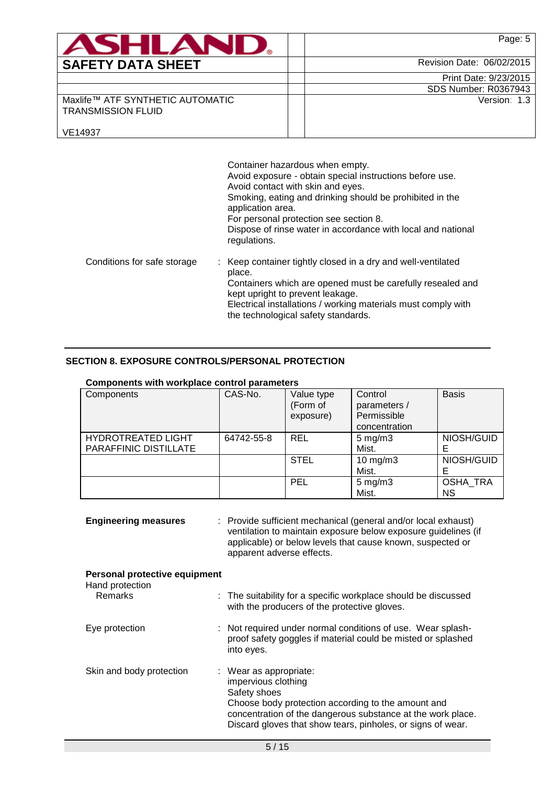| <b>ASHLAND.</b>                                                          | Page: 5                     |
|--------------------------------------------------------------------------|-----------------------------|
| <b>SAFETY DATA SHEET</b>                                                 | Revision Date: 06/02/2015   |
|                                                                          | Print Date: 9/23/2015       |
|                                                                          | <b>SDS Number: R0367943</b> |
| Maxlife™ ATF SYNTHETIC AUTOMATIC<br><b>TRANSMISSION FLUID</b><br>VE14937 | Version: 1.3                |

|                             | Container hazardous when empty.<br>Avoid exposure - obtain special instructions before use.<br>Avoid contact with skin and eyes.<br>Smoking, eating and drinking should be prohibited in the<br>application area.<br>For personal protection see section 8.<br>Dispose of rinse water in accordance with local and national<br>regulations. |
|-----------------------------|---------------------------------------------------------------------------------------------------------------------------------------------------------------------------------------------------------------------------------------------------------------------------------------------------------------------------------------------|
| Conditions for safe storage | : Keep container tightly closed in a dry and well-ventilated<br>place.<br>Containers which are opened must be carefully resealed and<br>kept upright to prevent leakage.<br>Electrical installations / working materials must comply with<br>the technological safety standards.                                                            |

## **SECTION 8. EXPOSURE CONTROLS/PERSONAL PROTECTION**

| Components with workplace control parameters |                             |              |
|----------------------------------------------|-----------------------------|--------------|
|                                              | $\sim$ $\sim$ $\sim$ $\sim$ | $\mathbf{1}$ |

| Components                                         | CAS-No.    | Value type<br>(Form of<br>exposure) | Control<br>parameters /<br>Permissible<br>concentration | <b>Basis</b>                 |
|----------------------------------------------------|------------|-------------------------------------|---------------------------------------------------------|------------------------------|
| <b>HYDROTREATED LIGHT</b><br>PARAFFINIC DISTILLATE | 64742-55-8 | <b>REL</b>                          | $5 \text{ mg/m}$ 3<br>Mist.                             | NIOSH/GUID                   |
|                                                    |            | <b>STEL</b>                         | $10$ mg/m $3$<br>Mist.                                  | NIOSH/GUID                   |
|                                                    |            | <b>PEL</b>                          | $5 \text{ mg/m}$ 3<br>Mist.                             | <b>OSHA TRA</b><br><b>NS</b> |

| <b>Engineering measures</b>                      | : Provide sufficient mechanical (general and/or local exhaust)<br>ventilation to maintain exposure below exposure guidelines (if<br>applicable) or below levels that cause known, suspected or<br>apparent adverse effects.                       |  |
|--------------------------------------------------|---------------------------------------------------------------------------------------------------------------------------------------------------------------------------------------------------------------------------------------------------|--|
| Personal protective equipment<br>Hand protection |                                                                                                                                                                                                                                                   |  |
| <b>Remarks</b>                                   | : The suitability for a specific workplace should be discussed<br>with the producers of the protective gloves.                                                                                                                                    |  |
| Eye protection                                   | : Not required under normal conditions of use. Wear splash-<br>proof safety goggles if material could be misted or splashed<br>into eyes.                                                                                                         |  |
| Skin and body protection                         | : Wear as appropriate:<br>impervious clothing<br>Safety shoes<br>Choose body protection according to the amount and<br>concentration of the dangerous substance at the work place.<br>Discard gloves that show tears, pinholes, or signs of wear. |  |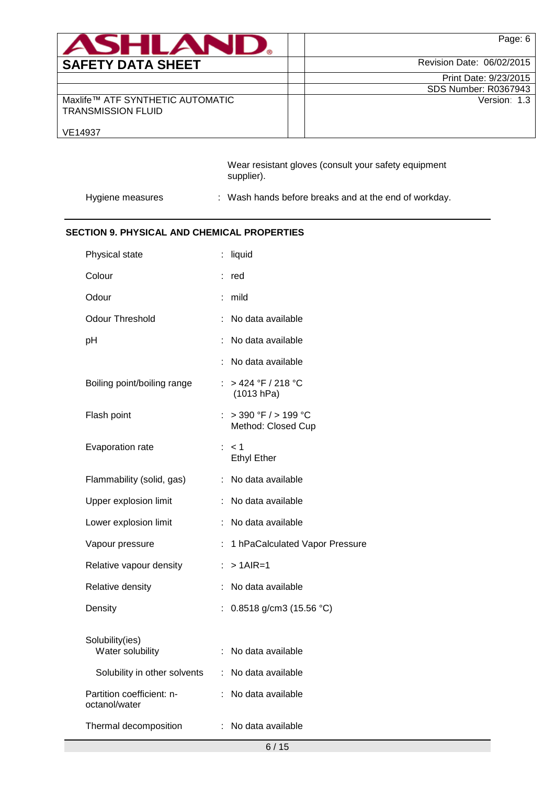| <b>ASHLANU</b>                                                | Page: 6                   |
|---------------------------------------------------------------|---------------------------|
| <b>SAFETY DATA SHEET</b>                                      | Revision Date: 06/02/2015 |
|                                                               | Print Date: 9/23/2015     |
|                                                               | SDS Number: R0367943      |
| Maxlife™ ATF SYNTHETIC AUTOMATIC<br><b>TRANSMISSION FLUID</b> | Version: 1.3              |
| VE14937                                                       |                           |

Wear resistant gloves (consult your safety equipment supplier).

Hygiene measures : Wash hands before breaks and at the end of workday.

## **SECTION 9. PHYSICAL AND CHEMICAL PROPERTIES**

| Physical state                             |    | liquid                                        |
|--------------------------------------------|----|-----------------------------------------------|
| Colour                                     |    | red                                           |
| Odour                                      | ÷  | mild                                          |
| <b>Odour Threshold</b>                     |    | No data available                             |
| pH                                         |    | No data available                             |
|                                            |    | No data available                             |
| Boiling point/boiling range                |    | : > 424 °F / 218 °C<br>(1013 hPa)             |
| Flash point                                |    | $>$ 390 °F $/$ > 199 °C<br>Method: Closed Cup |
| Evaporation rate                           |    | $:$ < 1<br><b>Ethyl Ether</b>                 |
| Flammability (solid, gas)                  | ÷  | No data available                             |
| Upper explosion limit                      | ÷  | No data available                             |
| Lower explosion limit                      | ÷  | No data available                             |
| Vapour pressure                            | ÷. | 1 hPaCalculated Vapor Pressure                |
| Relative vapour density                    | ÷. | $> 1$ AIR=1                                   |
| Relative density                           | ÷  | No data available                             |
| Density                                    | ÷. | 0.8518 g/cm3 (15.56 °C)                       |
| Solubility(ies)<br>Water solubility        |    | No data available                             |
| Solubility in other solvents               | ÷. | No data available                             |
| Partition coefficient: n-<br>octanol/water |    | No data available                             |
| Thermal decomposition                      |    | : No data available                           |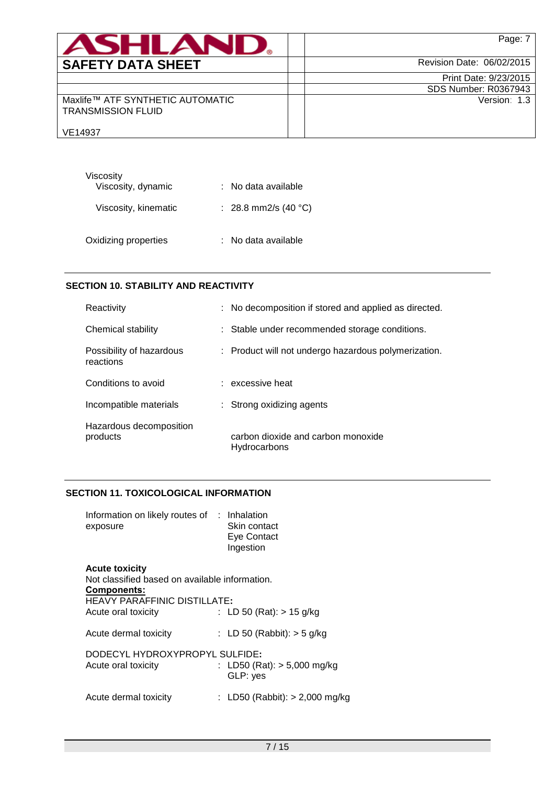| <b>ASHLAND</b>                                                | Page: 7                     |
|---------------------------------------------------------------|-----------------------------|
| <b>SAFETY DATA SHEET</b>                                      | Revision Date: 06/02/2015   |
|                                                               | Print Date: 9/23/2015       |
|                                                               | <b>SDS Number: R0367943</b> |
| Maxlife™ ATF SYNTHETIC AUTOMATIC<br><b>TRANSMISSION FLUID</b> | Version: 1.3                |
| VE14937                                                       |                             |

| Viscosity            |                      |
|----------------------|----------------------|
| Viscosity, dynamic   | : No data available  |
| Viscosity, kinematic | : 28.8 mm2/s (40 °C) |
| Oxidizing properties | : No data available  |

## **SECTION 10. STABILITY AND REACTIVITY**

| Reactivity                            | : No decomposition if stored and applied as directed. |
|---------------------------------------|-------------------------------------------------------|
| Chemical stability                    | : Stable under recommended storage conditions.        |
| Possibility of hazardous<br>reactions | : Product will not undergo hazardous polymerization.  |
| Conditions to avoid                   | : excessive heat                                      |
| Incompatible materials                | $\therefore$ Strong oxidizing agents                  |
| Hazardous decomposition<br>products   | carbon dioxide and carbon monoxide<br>Hydrocarbons    |

## **SECTION 11. TOXICOLOGICAL INFORMATION**

| Information on likely routes of : Inhalation |              |  |
|----------------------------------------------|--------------|--|
| exposure                                     | Skin contact |  |
|                                              | Eye Contact  |  |
|                                              | Ingestion    |  |
| <b>Acute toxicity</b>                        |              |  |

| Not classified based on available information.<br>Components:<br><b>HEAVY PARAFFINIC DISTILLATE:</b> |                                           |
|------------------------------------------------------------------------------------------------------|-------------------------------------------|
| Acute oral toxicity                                                                                  | : LD 50 (Rat): $> 15$ g/kg                |
| Acute dermal toxicity                                                                                | : LD 50 (Rabbit): $>$ 5 g/kg              |
| DODECYL HYDROXYPROPYL SULFIDE:<br>Acute oral toxicity                                                | : LD50 (Rat): $> 5,000$ mg/kg<br>GLP: yes |
| Acute dermal toxicity                                                                                | : LD50 (Rabbit): $> 2,000$ mg/kg          |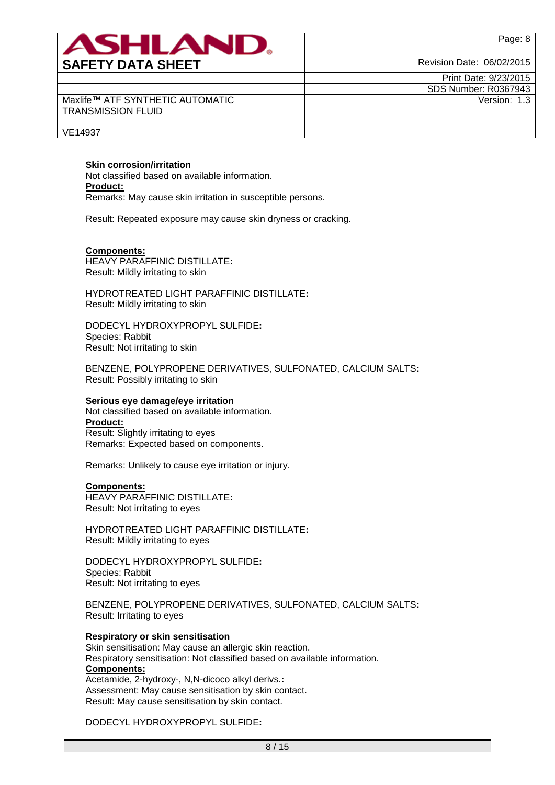| ASHLAND                                                       | Page: 8                   |
|---------------------------------------------------------------|---------------------------|
| <b>SAFETY DATA SHEET</b>                                      | Revision Date: 06/02/2015 |
|                                                               | Print Date: 9/23/2015     |
|                                                               | SDS Number: R0367943      |
| Maxlife™ ATF SYNTHETIC AUTOMATIC<br><b>TRANSMISSION FLUID</b> | Version: 1.3              |
| VE14937                                                       |                           |

#### **Skin corrosion/irritation**

Not classified based on available information. **Product:** Remarks: May cause skin irritation in susceptible persons.

Result: Repeated exposure may cause skin dryness or cracking.

#### **Components:**

HEAVY PARAFFINIC DISTILLATE**:** Result: Mildly irritating to skin

HYDROTREATED LIGHT PARAFFINIC DISTILLATE**:** Result: Mildly irritating to skin

DODECYL HYDROXYPROPYL SULFIDE**:** Species: Rabbit Result: Not irritating to skin

BENZENE, POLYPROPENE DERIVATIVES, SULFONATED, CALCIUM SALTS**:** Result: Possibly irritating to skin

#### **Serious eye damage/eye irritation**

Not classified based on available information. **Product:** Result: Slightly irritating to eyes Remarks: Expected based on components.

Remarks: Unlikely to cause eye irritation or injury.

## **Components:**

HEAVY PARAFFINIC DISTILLATE**:** Result: Not irritating to eyes

HYDROTREATED LIGHT PARAFFINIC DISTILLATE**:** Result: Mildly irritating to eyes

DODECYL HYDROXYPROPYL SULFIDE**:** Species: Rabbit Result: Not irritating to eyes

BENZENE, POLYPROPENE DERIVATIVES, SULFONATED, CALCIUM SALTS**:** Result: Irritating to eyes

#### **Respiratory or skin sensitisation**

Skin sensitisation: May cause an allergic skin reaction. Respiratory sensitisation: Not classified based on available information. **Components:** Acetamide, 2-hydroxy-, N,N-dicoco alkyl derivs.**:** Assessment: May cause sensitisation by skin contact. Result: May cause sensitisation by skin contact.

#### DODECYL HYDROXYPROPYL SULFIDE**:**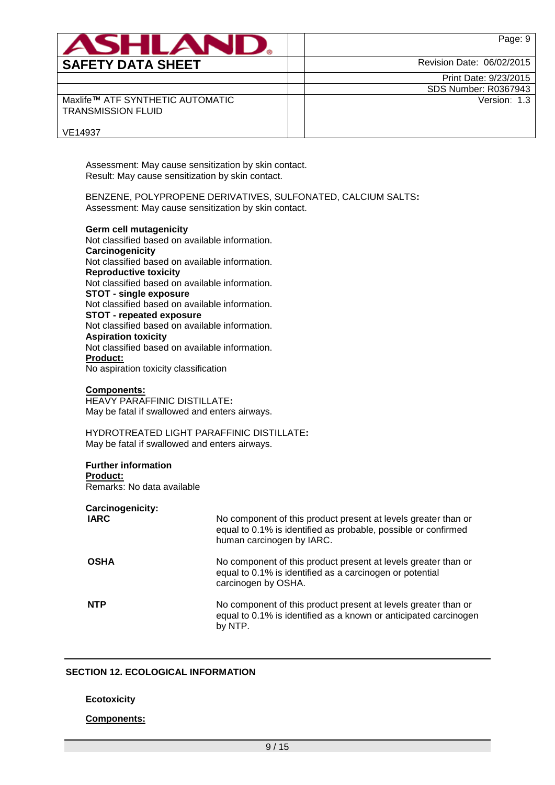| <b>ASHLAN</b>                                                 | Page: 9                     |
|---------------------------------------------------------------|-----------------------------|
| <b>SAFETY DATA SHEET</b>                                      | Revision Date: 06/02/2015   |
|                                                               | Print Date: 9/23/2015       |
|                                                               | <b>SDS Number: R0367943</b> |
| Maxlife™ ATF SYNTHETIC AUTOMATIC<br><b>TRANSMISSION FLUID</b> | Version: 1.3                |
| VE14937                                                       |                             |

Assessment: May cause sensitization by skin contact. Result: May cause sensitization by skin contact.

BENZENE, POLYPROPENE DERIVATIVES, SULFONATED, CALCIUM SALTS**:** Assessment: May cause sensitization by skin contact.

**Germ cell mutagenicity** Not classified based on available information. **Carcinogenicity** Not classified based on available information. **Reproductive toxicity** Not classified based on available information. **STOT - single exposure** Not classified based on available information. **STOT - repeated exposure** Not classified based on available information. **Aspiration toxicity** Not classified based on available information. **Product:** No aspiration toxicity classification

### **Components:**

HEAVY PARAFFINIC DISTILLATE**:** May be fatal if swallowed and enters airways.

HYDROTREATED LIGHT PARAFFINIC DISTILLATE**:** May be fatal if swallowed and enters airways.

## **Further information**

**Product:** Remarks: No data available

**Carcinogenicity:**

| <b>IARC</b> | No component of this product present at levels greater than or<br>equal to 0.1% is identified as probable, possible or confirmed<br>human carcinogen by IARC. |
|-------------|---------------------------------------------------------------------------------------------------------------------------------------------------------------|
| <b>OSHA</b> | No component of this product present at levels greater than or<br>equal to 0.1% is identified as a carcinogen or potential<br>carcinogen by OSHA.             |
| <b>NTP</b>  | No component of this product present at levels greater than or<br>equal to 0.1% is identified as a known or anticipated carcinogen<br>by NTP.                 |

### **SECTION 12. ECOLOGICAL INFORMATION**

#### **Ecotoxicity**

#### **Components:**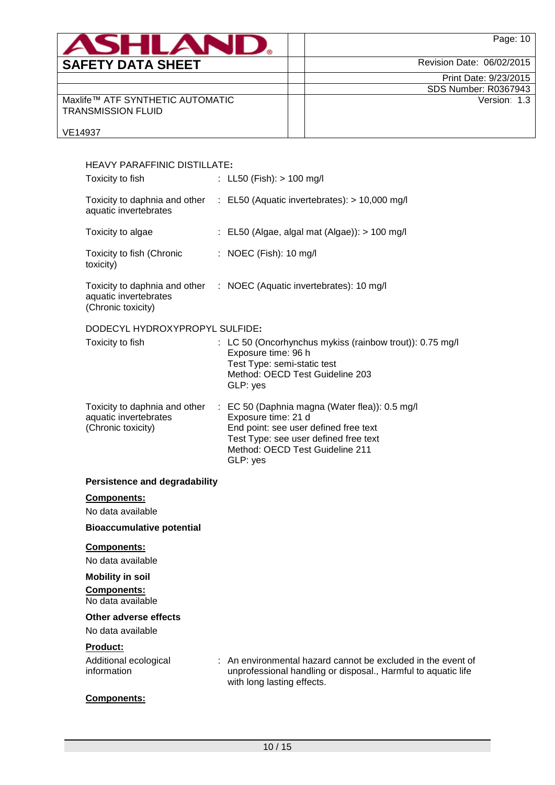| <b>ASHLAN</b>                                                 | Page: 10                    |
|---------------------------------------------------------------|-----------------------------|
| <b>SAFETY DATA SHEET</b>                                      | Revision Date: 06/02/2015   |
|                                                               | Print Date: 9/23/2015       |
|                                                               | <b>SDS Number: R0367943</b> |
| Maxlife™ ATF SYNTHETIC AUTOMATIC<br><b>TRANSMISSION FLUID</b> | Version: 1.3                |
| VE14937                                                       |                             |

| <b>HEAVY PARAFFINIC DISTILLATE:</b>                                          |                                                                                                                                                                                                        |
|------------------------------------------------------------------------------|--------------------------------------------------------------------------------------------------------------------------------------------------------------------------------------------------------|
| Toxicity to fish                                                             | : LL50 (Fish): $> 100$ mg/l                                                                                                                                                                            |
| aquatic invertebrates                                                        | Toxicity to daphnia and other : EL50 (Aquatic invertebrates): > 10,000 mg/l                                                                                                                            |
| Toxicity to algae                                                            | : EL50 (Algae, algal mat (Algae)): > 100 mg/l                                                                                                                                                          |
| Toxicity to fish (Chronic<br>toxicity)                                       | : NOEC (Fish): 10 mg/l                                                                                                                                                                                 |
| aquatic invertebrates<br>(Chronic toxicity)                                  | Toxicity to daphnia and other : NOEC (Aquatic invertebrates): 10 mg/l                                                                                                                                  |
| DODECYL HYDROXYPROPYL SULFIDE:                                               |                                                                                                                                                                                                        |
| Toxicity to fish                                                             | : LC 50 (Oncorhynchus mykiss (rainbow trout)): 0.75 mg/l<br>Exposure time: 96 h<br>Test Type: semi-static test<br>Method: OECD Test Guideline 203<br>GLP: yes                                          |
| Toxicity to daphnia and other<br>aquatic invertebrates<br>(Chronic toxicity) | : EC 50 (Daphnia magna (Water flea)): 0.5 mg/l<br>Exposure time: 21 d<br>End point: see user defined free text<br>Test Type: see user defined free text<br>Method: OECD Test Guideline 211<br>GLP: yes |
| <b>Persistence and degradability</b>                                         |                                                                                                                                                                                                        |
| <b>Components:</b>                                                           |                                                                                                                                                                                                        |
| No data available                                                            |                                                                                                                                                                                                        |
| <b>Bioaccumulative potential</b>                                             |                                                                                                                                                                                                        |
| Components:<br>No data available                                             |                                                                                                                                                                                                        |
| <b>Mobility in soil</b>                                                      |                                                                                                                                                                                                        |
| <b>Components:</b><br>No data available                                      |                                                                                                                                                                                                        |
| Other adverse effects                                                        |                                                                                                                                                                                                        |
| No data available                                                            |                                                                                                                                                                                                        |
| Product:<br>Additional ecological<br>information                             | An environmental hazard cannot be excluded in the event of<br>unprofessional handling or disposal., Harmful to aquatic life<br>with long lasting effects.                                              |
| Components:                                                                  |                                                                                                                                                                                                        |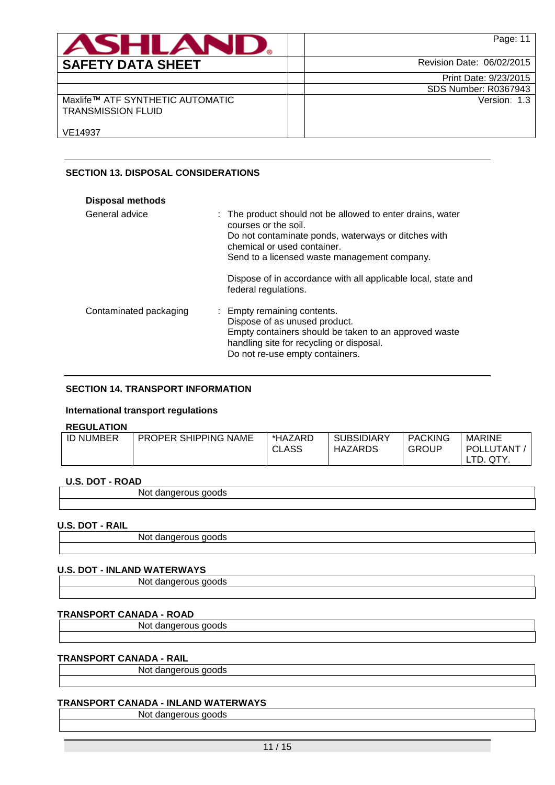| <b>ASHLAND.</b>                                               | Page: 11                  |
|---------------------------------------------------------------|---------------------------|
| <b>SAFETY DATA SHEET</b>                                      | Revision Date: 06/02/2015 |
|                                                               | Print Date: 9/23/2015     |
|                                                               | SDS Number: R0367943      |
| Maxlife™ ATF SYNTHETIC AUTOMATIC<br><b>TRANSMISSION FLUID</b> | Version: 1.3              |
| VE14937                                                       |                           |

## **SECTION 13. DISPOSAL CONSIDERATIONS**

| <b>Disposal methods</b> |                                                                                                                                                                                                                                                                                                                   |
|-------------------------|-------------------------------------------------------------------------------------------------------------------------------------------------------------------------------------------------------------------------------------------------------------------------------------------------------------------|
| General advice          | : The product should not be allowed to enter drains, water<br>courses or the soil.<br>Do not contaminate ponds, waterways or ditches with<br>chemical or used container.<br>Send to a licensed waste management company.<br>Dispose of in accordance with all applicable local, state and<br>federal regulations. |
| Contaminated packaging  | : Empty remaining contents.<br>Dispose of as unused product.<br>Empty containers should be taken to an approved waste<br>handling site for recycling or disposal.<br>Do not re-use empty containers.                                                                                                              |

## **SECTION 14. TRANSPORT INFORMATION**

#### **International transport regulations**

## **REGULATION**

| .                |                             |                         |                              |                                |                     |
|------------------|-----------------------------|-------------------------|------------------------------|--------------------------------|---------------------|
| <b>ID NUMBER</b> | <b>PROPER SHIPPING NAME</b> | *HAZARD<br><b>CLASS</b> | <b>SUBSIDIARY</b><br>HAZARDS | <b>PACKING</b><br><b>GROUP</b> | MARINE<br>POLLUTANT |
|                  |                             |                         |                              |                                | QTY.                |

## **U.S. DOT - ROAD**

| $         -$ |             |  |
|--------------|-------------|--|
|              | 'NG.<br>. . |  |
|              |             |  |

### **U.S. DOT - RAIL**

Not dangerous goods

## **U.S. DOT - INLAND WATERWAYS**

Not dangerous goods

## **TRANSPORT CANADA - ROAD**

Not dangerous goods

## **TRANSPORT CANADA - RAIL**

Not dangerous goods

## **TRANSPORT CANADA - INLAND WATERWAYS**

Not dangerous goods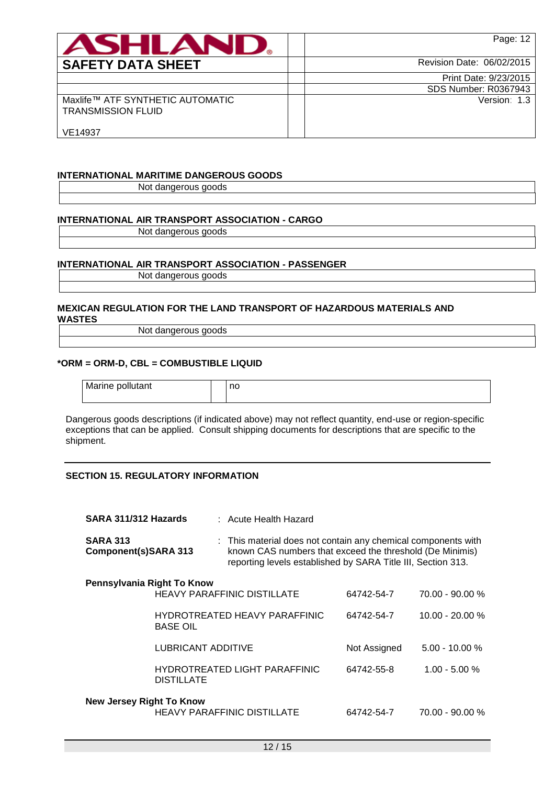| ASHLAN                                                        | Page: 12                    |
|---------------------------------------------------------------|-----------------------------|
| <b>SAFETY DATA SHEET</b>                                      | Revision Date: 06/02/2015   |
|                                                               | Print Date: 9/23/2015       |
|                                                               | <b>SDS Number: R0367943</b> |
| Maxlife™ ATF SYNTHETIC AUTOMATIC<br><b>TRANSMISSION FLUID</b> | Version: 1.3                |
| VE14937                                                       |                             |

### **INTERNATIONAL MARITIME DANGEROUS GOODS**

Not dangerous goods

## **INTERNATIONAL AIR TRANSPORT ASSOCIATION - CARGO**

Not dangerous goods

## **INTERNATIONAL AIR TRANSPORT ASSOCIATION - PASSENGER**

Not dangerous goods

#### **MEXICAN REGULATION FOR THE LAND TRANSPORT OF HAZARDOUS MATERIALS AND WASTES**

Not dangerous goods

### **\*ORM = ORM-D, CBL = COMBUSTIBLE LIQUID**

| Marine pollutant | no |
|------------------|----|
|                  |    |

Dangerous goods descriptions (if indicated above) may not reflect quantity, end-use or region-specific exceptions that can be applied. Consult shipping documents for descriptions that are specific to the shipment.

## **SECTION 15. REGULATORY INFORMATION**

| SARA 311/312 Hazards                    |                                                  |                                    | : Acute Health Hazard                                                                                                                                                                     |                   |                   |
|-----------------------------------------|--------------------------------------------------|------------------------------------|-------------------------------------------------------------------------------------------------------------------------------------------------------------------------------------------|-------------------|-------------------|
| <b>SARA 313</b><br>Component(s)SARA 313 |                                                  |                                    | : This material does not contain any chemical components with<br>known CAS numbers that exceed the threshold (De Minimis)<br>reporting levels established by SARA Title III, Section 313. |                   |                   |
| Pennsylvania Right To Know              |                                                  |                                    | <b>HEAVY PARAFFINIC DISTILLATE</b>                                                                                                                                                        | 64742-54-7        | $70.00 - 90.00 %$ |
|                                         | HYDROTREATED HEAVY PARAFFINIC<br><b>BASE OIL</b> |                                    | 64742-54-7                                                                                                                                                                                | $10.00 - 20.00 %$ |                   |
|                                         | <b>LUBRICANT ADDITIVE</b>                        |                                    |                                                                                                                                                                                           | Not Assigned      | $5.00 - 10.00 %$  |
|                                         | <b>DISTILLATE</b>                                |                                    | <b>HYDROTREATED LIGHT PARAFFINIC</b>                                                                                                                                                      | 64742-55-8        | $1.00 - 5.00 %$   |
| <b>New Jersey Right To Know</b>         |                                                  | <b>HEAVY PARAFFINIC DISTILLATE</b> | 64742-54-7                                                                                                                                                                                | $70.00 - 90.00 %$ |                   |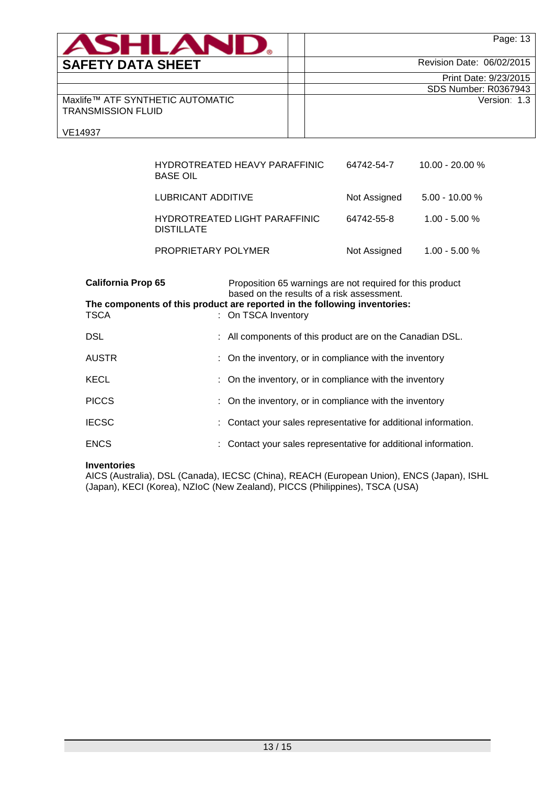| <b>ASHLAND.</b>                                               | Page: 13                    |
|---------------------------------------------------------------|-----------------------------|
| <b>SAFETY DATA SHEET</b>                                      | Revision Date: 06/02/2015   |
|                                                               | Print Date: 9/23/2015       |
|                                                               | <b>SDS Number: R0367943</b> |
| Maxlife™ ATF SYNTHETIC AUTOMATIC<br><b>TRANSMISSION FLUID</b> | Version: 1.3                |
| VE14937                                                       |                             |

| HYDROTREATED HEAVY PARAFFINIC<br><b>BASE OIL</b>   | 64742-54-7   | $10.00 - 20.00 %$ |
|----------------------------------------------------|--------------|-------------------|
| LUBRICANT ADDITIVE                                 | Not Assigned | $5.00 - 10.00 %$  |
| HYDROTREATED LIGHT PARAFFINIC<br><b>DISTILLATE</b> | 64742-55-8   | $1.00 - 5.00 %$   |
| PROPRIETARY POLYMER                                | Not Assigned | $1.00 - 5.00 %$   |

| <b>California Prop 65</b> | Proposition 65 warnings are not required for this product<br>based on the results of a risk assessment. |
|---------------------------|---------------------------------------------------------------------------------------------------------|
| <b>TSCA</b>               | The components of this product are reported in the following inventories:<br>: On TSCA Inventory        |
| <b>DSL</b>                | : All components of this product are on the Canadian DSL.                                               |
| <b>AUSTR</b>              | : On the inventory, or in compliance with the inventory                                                 |
| <b>KECL</b>               | : On the inventory, or in compliance with the inventory                                                 |
| <b>PICCS</b>              | : On the inventory, or in compliance with the inventory                                                 |
| <b>IECSC</b>              | : Contact your sales representative for additional information.                                         |
| <b>ENCS</b>               | Contact your sales representative for additional information.                                           |

## **Inventories**

AICS (Australia), DSL (Canada), IECSC (China), REACH (European Union), ENCS (Japan), ISHL (Japan), KECI (Korea), NZIoC (New Zealand), PICCS (Philippines), TSCA (USA)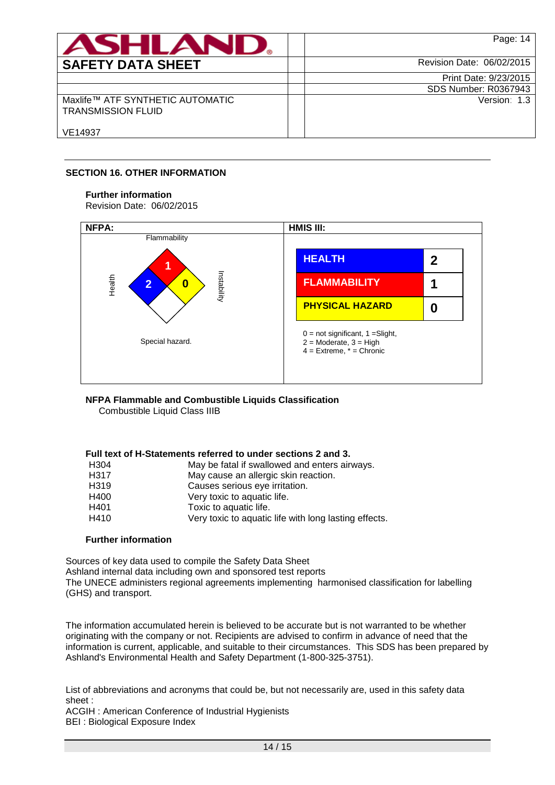| <b>ASHLAN</b>                                                 | Page: 14                    |
|---------------------------------------------------------------|-----------------------------|
| <b>SAFETY DATA SHEET</b>                                      | Revision Date: 06/02/2015   |
|                                                               | Print Date: 9/23/2015       |
|                                                               | <b>SDS Number: R0367943</b> |
| Maxlife™ ATF SYNTHETIC AUTOMATIC<br><b>TRANSMISSION FLUID</b> | Version: 1.3                |
| VE14937                                                       |                             |

## **SECTION 16. OTHER INFORMATION**

## **Further information**

Revision Date: 06/02/2015



# **NFPA Flammable and Combustible Liquids Classification**

Combustible Liquid Class IIIB

## **Full text of H-Statements referred to under sections 2 and 3.**

| H <sub>304</sub> | May be fatal if swallowed and enters airways.         |
|------------------|-------------------------------------------------------|
| H317             | May cause an allergic skin reaction.                  |
| H <sub>319</sub> | Causes serious eye irritation.                        |
| H400             | Very toxic to aquatic life.                           |
| H401             | Toxic to aquatic life.                                |
| H410             | Very toxic to aquatic life with long lasting effects. |

## **Further information**

Sources of key data used to compile the Safety Data Sheet Ashland internal data including own and sponsored test reports The UNECE administers regional agreements implementing harmonised classification for labelling (GHS) and transport.

The information accumulated herein is believed to be accurate but is not warranted to be whether originating with the company or not. Recipients are advised to confirm in advance of need that the information is current, applicable, and suitable to their circumstances. This SDS has been prepared by Ashland's Environmental Health and Safety Department (1-800-325-3751).

List of abbreviations and acronyms that could be, but not necessarily are, used in this safety data sheet :

ACGIH : American Conference of Industrial Hygienists BEI : Biological Exposure Index